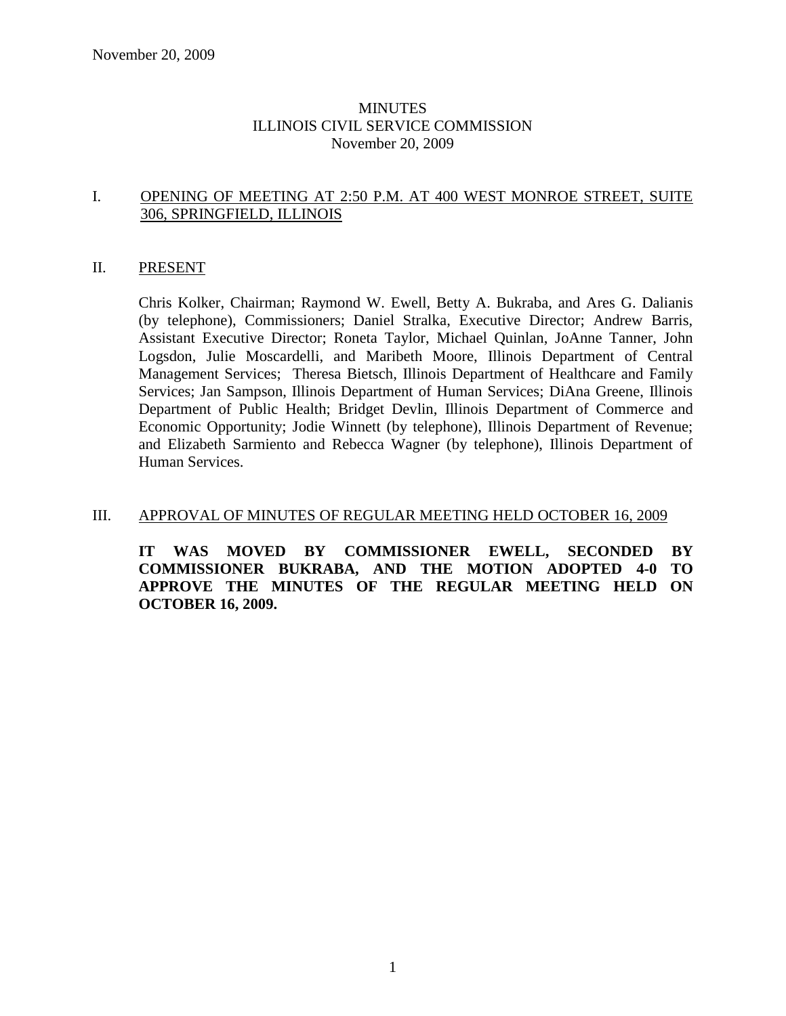### MINUTES ILLINOIS CIVIL SERVICE COMMISSION November 20, 2009

### I. OPENING OF MEETING AT 2:50 P.M. AT 400 WEST MONROE STREET, SUITE 306, SPRINGFIELD, ILLINOIS

#### II. PRESENT

Chris Kolker, Chairman; Raymond W. Ewell, Betty A. Bukraba, and Ares G. Dalianis (by telephone), Commissioners; Daniel Stralka, Executive Director; Andrew Barris, Assistant Executive Director; Roneta Taylor, Michael Quinlan, JoAnne Tanner, John Logsdon, Julie Moscardelli, and Maribeth Moore, Illinois Department of Central Management Services; Theresa Bietsch, Illinois Department of Healthcare and Family Services; Jan Sampson, Illinois Department of Human Services; DiAna Greene, Illinois Department of Public Health; Bridget Devlin, Illinois Department of Commerce and Economic Opportunity; Jodie Winnett (by telephone), Illinois Department of Revenue; and Elizabeth Sarmiento and Rebecca Wagner (by telephone), Illinois Department of Human Services.

### III. APPROVAL OF MINUTES OF REGULAR MEETING HELD OCTOBER 16, 2009

**IT WAS MOVED BY COMMISSIONER EWELL, SECONDED BY COMMISSIONER BUKRABA, AND THE MOTION ADOPTED 4-0 TO APPROVE THE MINUTES OF THE REGULAR MEETING HELD ON OCTOBER 16, 2009.**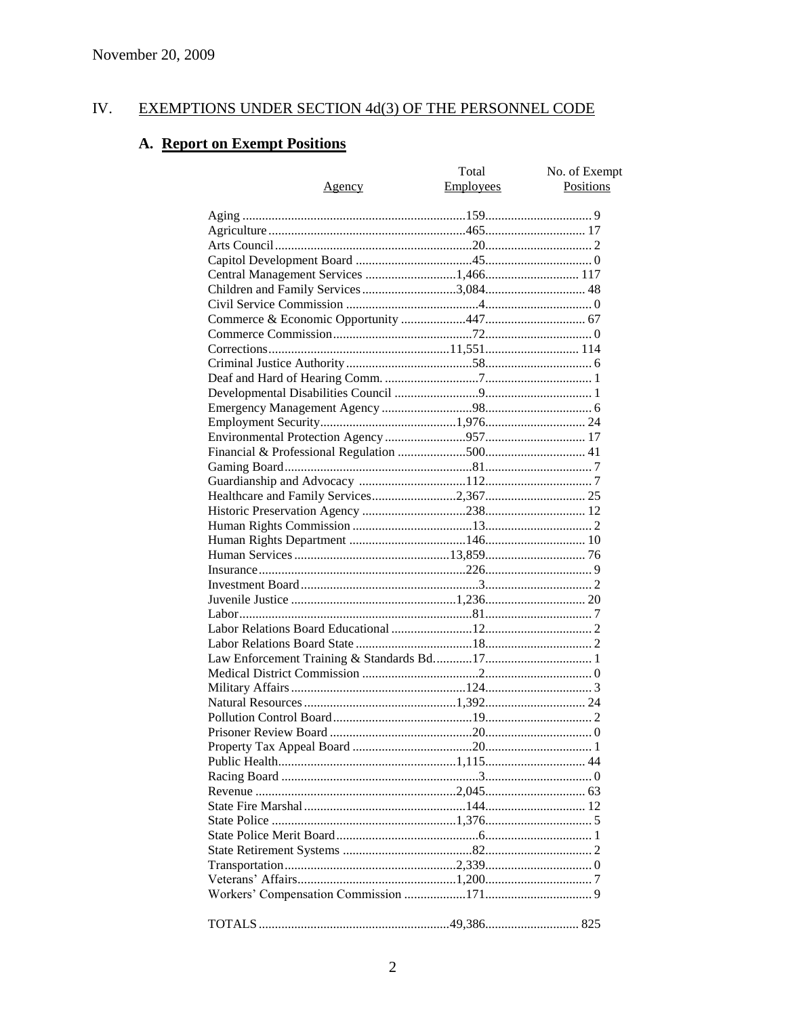#### IV. EXEMPTIONS UNDER SECTION 4d(3) OF THE PERSONNEL CODE

## A. Report on Exempt Positions

| <u>Agency</u>                         | Total<br>Employees | No. of Exempt<br>Positions |
|---------------------------------------|--------------------|----------------------------|
|                                       |                    |                            |
|                                       |                    |                            |
|                                       |                    |                            |
|                                       |                    |                            |
|                                       |                    |                            |
| Children and Family Services 3,084 48 |                    |                            |
|                                       |                    |                            |
|                                       |                    |                            |
|                                       |                    |                            |
|                                       |                    |                            |
|                                       |                    |                            |
|                                       |                    |                            |
|                                       |                    |                            |
|                                       |                    |                            |
|                                       |                    |                            |
|                                       |                    |                            |
|                                       |                    |                            |
|                                       |                    |                            |
|                                       |                    |                            |
|                                       |                    |                            |
|                                       |                    |                            |
|                                       |                    |                            |
|                                       |                    |                            |
|                                       |                    |                            |
|                                       |                    |                            |
|                                       |                    |                            |
|                                       |                    |                            |
|                                       |                    |                            |
|                                       |                    |                            |
|                                       |                    |                            |
|                                       |                    |                            |
|                                       |                    |                            |
|                                       |                    |                            |
|                                       |                    |                            |
|                                       |                    |                            |
|                                       |                    |                            |
|                                       |                    |                            |
|                                       |                    |                            |
|                                       |                    |                            |
|                                       |                    |                            |
|                                       |                    |                            |
|                                       |                    |                            |
|                                       |                    |                            |
|                                       |                    |                            |
|                                       |                    |                            |
|                                       |                    |                            |
|                                       |                    |                            |
|                                       |                    |                            |
|                                       |                    |                            |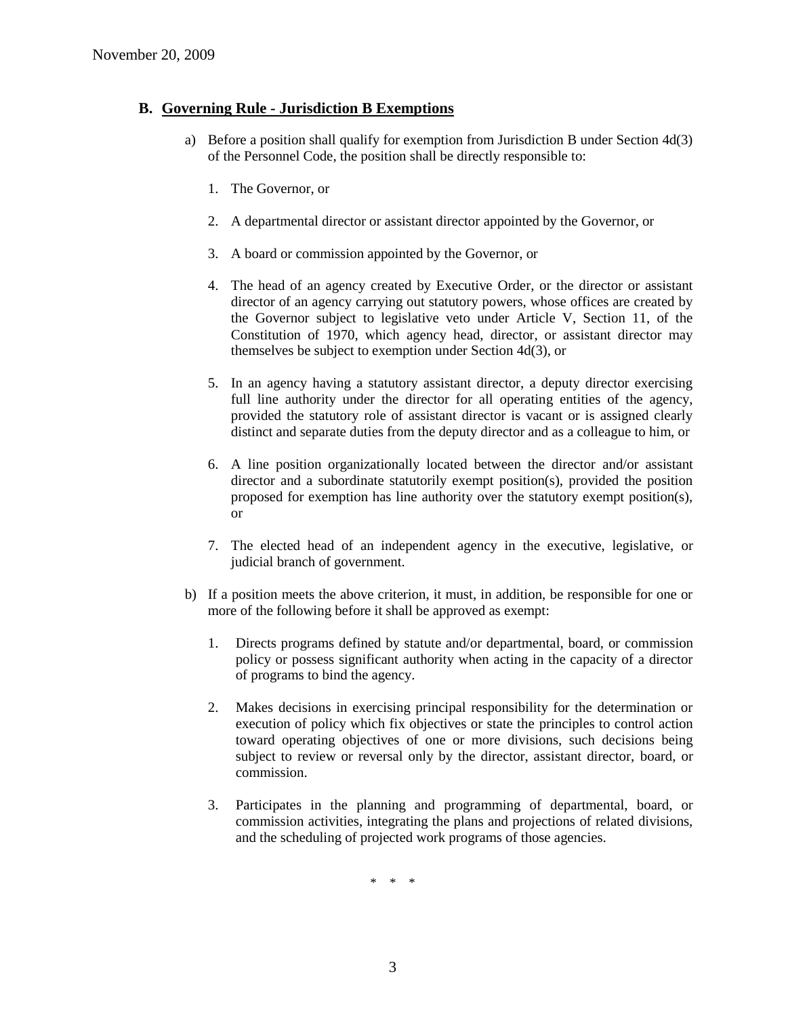### **B. Governing Rule - Jurisdiction B Exemptions**

- a) Before a position shall qualify for exemption from Jurisdiction B under Section 4d(3) of the Personnel Code, the position shall be directly responsible to:
	- 1. The Governor, or
	- 2. A departmental director or assistant director appointed by the Governor, or
	- 3. A board or commission appointed by the Governor, or
	- 4. The head of an agency created by Executive Order, or the director or assistant director of an agency carrying out statutory powers, whose offices are created by the Governor subject to legislative veto under Article V, Section 11, of the Constitution of 1970, which agency head, director, or assistant director may themselves be subject to exemption under Section 4d(3), or
	- 5. In an agency having a statutory assistant director, a deputy director exercising full line authority under the director for all operating entities of the agency, provided the statutory role of assistant director is vacant or is assigned clearly distinct and separate duties from the deputy director and as a colleague to him, or
	- 6. A line position organizationally located between the director and/or assistant director and a subordinate statutorily exempt position(s), provided the position proposed for exemption has line authority over the statutory exempt position(s), or
	- 7. The elected head of an independent agency in the executive, legislative, or judicial branch of government.
- b) If a position meets the above criterion, it must, in addition, be responsible for one or more of the following before it shall be approved as exempt:
	- 1. Directs programs defined by statute and/or departmental, board, or commission policy or possess significant authority when acting in the capacity of a director of programs to bind the agency.
	- 2. Makes decisions in exercising principal responsibility for the determination or execution of policy which fix objectives or state the principles to control action toward operating objectives of one or more divisions, such decisions being subject to review or reversal only by the director, assistant director, board, or commission.
	- 3. Participates in the planning and programming of departmental, board, or commission activities, integrating the plans and projections of related divisions, and the scheduling of projected work programs of those agencies.

\* \* \*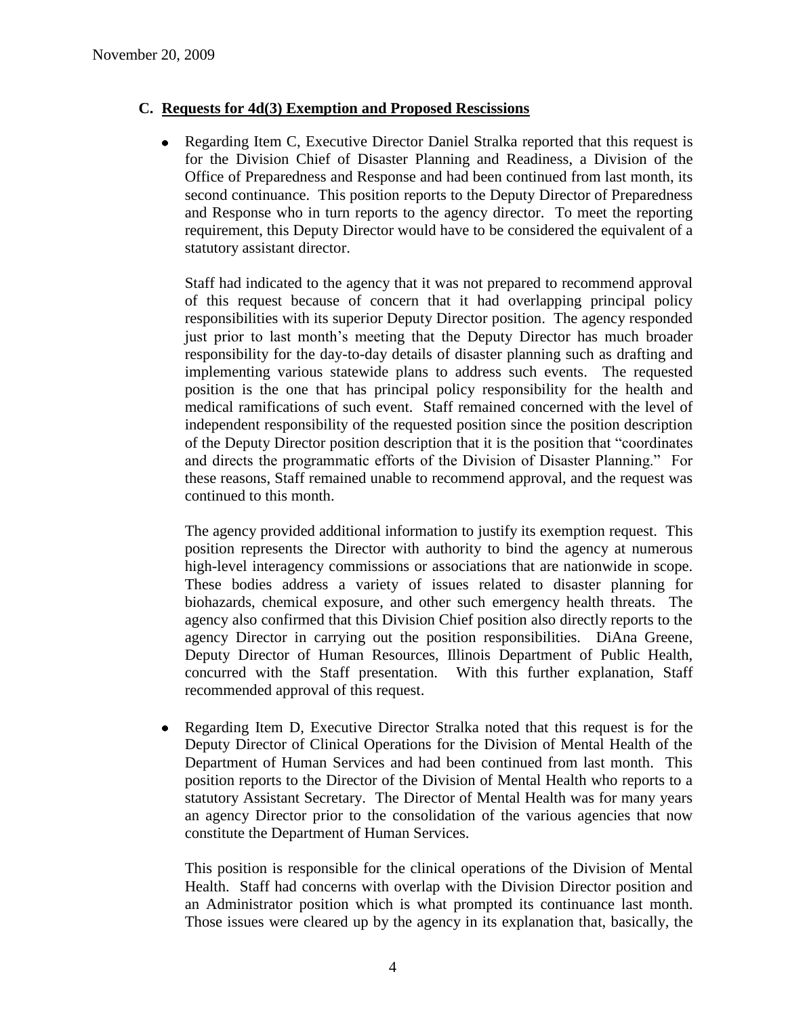### **C. Requests for 4d(3) Exemption and Proposed Rescissions**

Regarding Item C, Executive Director Daniel Stralka reported that this request is for the Division Chief of Disaster Planning and Readiness, a Division of the Office of Preparedness and Response and had been continued from last month, its second continuance. This position reports to the Deputy Director of Preparedness and Response who in turn reports to the agency director. To meet the reporting requirement, this Deputy Director would have to be considered the equivalent of a statutory assistant director.

Staff had indicated to the agency that it was not prepared to recommend approval of this request because of concern that it had overlapping principal policy responsibilities with its superior Deputy Director position. The agency responded just prior to last month's meeting that the Deputy Director has much broader responsibility for the day-to-day details of disaster planning such as drafting and implementing various statewide plans to address such events. The requested position is the one that has principal policy responsibility for the health and medical ramifications of such event. Staff remained concerned with the level of independent responsibility of the requested position since the position description of the Deputy Director position description that it is the position that "coordinates and directs the programmatic efforts of the Division of Disaster Planning." For these reasons, Staff remained unable to recommend approval, and the request was continued to this month.

The agency provided additional information to justify its exemption request. This position represents the Director with authority to bind the agency at numerous high-level interagency commissions or associations that are nationwide in scope. These bodies address a variety of issues related to disaster planning for biohazards, chemical exposure, and other such emergency health threats. The agency also confirmed that this Division Chief position also directly reports to the agency Director in carrying out the position responsibilities. DiAna Greene, Deputy Director of Human Resources, Illinois Department of Public Health, concurred with the Staff presentation. With this further explanation, Staff recommended approval of this request.

Regarding Item D, Executive Director Stralka noted that this request is for the  $\bullet$ Deputy Director of Clinical Operations for the Division of Mental Health of the Department of Human Services and had been continued from last month. This position reports to the Director of the Division of Mental Health who reports to a statutory Assistant Secretary. The Director of Mental Health was for many years an agency Director prior to the consolidation of the various agencies that now constitute the Department of Human Services.

This position is responsible for the clinical operations of the Division of Mental Health. Staff had concerns with overlap with the Division Director position and an Administrator position which is what prompted its continuance last month. Those issues were cleared up by the agency in its explanation that, basically, the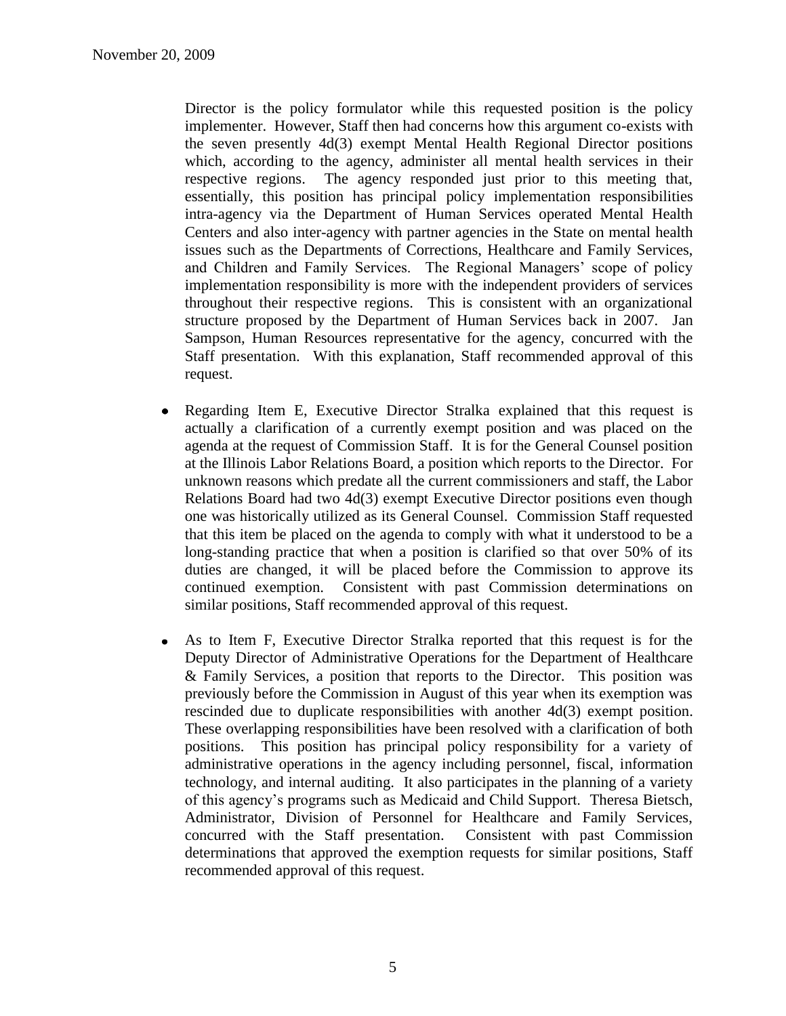Director is the policy formulator while this requested position is the policy implementer. However, Staff then had concerns how this argument co-exists with the seven presently 4d(3) exempt Mental Health Regional Director positions which, according to the agency, administer all mental health services in their respective regions. The agency responded just prior to this meeting that, essentially, this position has principal policy implementation responsibilities intra-agency via the Department of Human Services operated Mental Health Centers and also inter-agency with partner agencies in the State on mental health issues such as the Departments of Corrections, Healthcare and Family Services, and Children and Family Services. The Regional Managers' scope of policy implementation responsibility is more with the independent providers of services throughout their respective regions. This is consistent with an organizational structure proposed by the Department of Human Services back in 2007. Jan Sampson, Human Resources representative for the agency, concurred with the Staff presentation. With this explanation, Staff recommended approval of this request.

- Regarding Item E, Executive Director Stralka explained that this request is  $\bullet$ actually a clarification of a currently exempt position and was placed on the agenda at the request of Commission Staff. It is for the General Counsel position at the Illinois Labor Relations Board, a position which reports to the Director. For unknown reasons which predate all the current commissioners and staff, the Labor Relations Board had two 4d(3) exempt Executive Director positions even though one was historically utilized as its General Counsel. Commission Staff requested that this item be placed on the agenda to comply with what it understood to be a long-standing practice that when a position is clarified so that over 50% of its duties are changed, it will be placed before the Commission to approve its continued exemption. Consistent with past Commission determinations on similar positions, Staff recommended approval of this request.
- $\bullet$ As to Item F, Executive Director Stralka reported that this request is for the Deputy Director of Administrative Operations for the Department of Healthcare & Family Services, a position that reports to the Director. This position was previously before the Commission in August of this year when its exemption was rescinded due to duplicate responsibilities with another 4d(3) exempt position. These overlapping responsibilities have been resolved with a clarification of both positions. This position has principal policy responsibility for a variety of administrative operations in the agency including personnel, fiscal, information technology, and internal auditing. It also participates in the planning of a variety of this agency's programs such as Medicaid and Child Support. Theresa Bietsch, Administrator, Division of Personnel for Healthcare and Family Services, concurred with the Staff presentation. Consistent with past Commission determinations that approved the exemption requests for similar positions, Staff recommended approval of this request.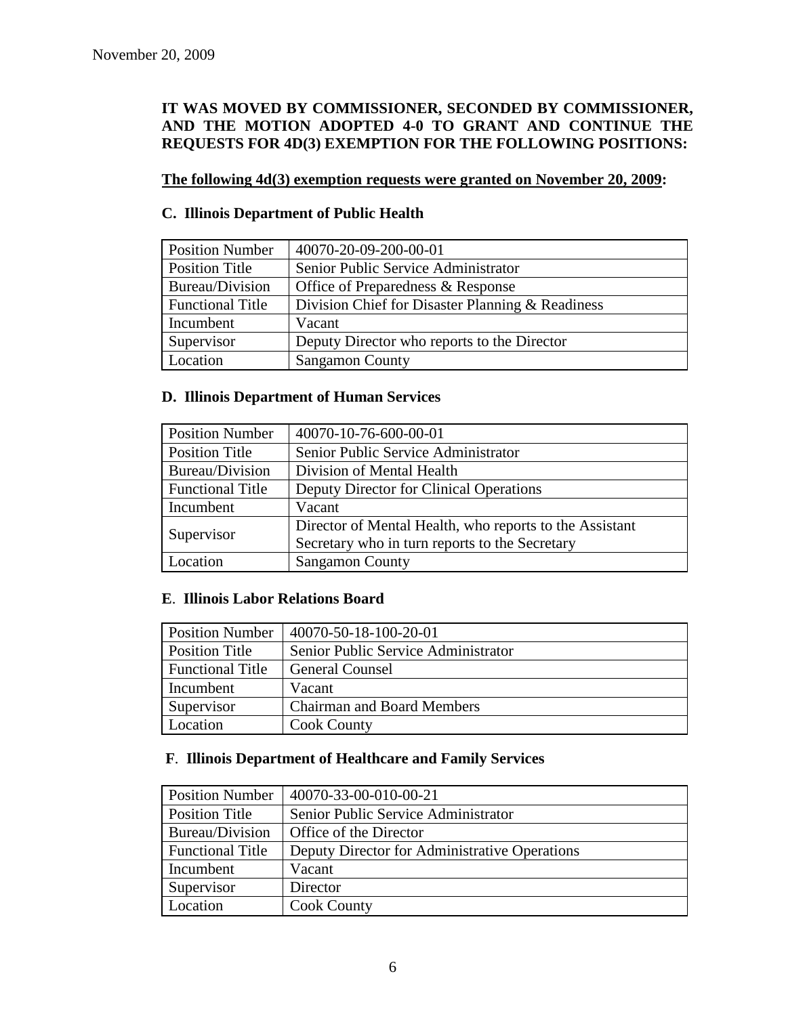### **IT WAS MOVED BY COMMISSIONER, SECONDED BY COMMISSIONER, AND THE MOTION ADOPTED 4-0 TO GRANT AND CONTINUE THE REQUESTS FOR 4D(3) EXEMPTION FOR THE FOLLOWING POSITIONS:**

### **The following 4d(3) exemption requests were granted on November 20, 2009:**

### **C. Illinois Department of Public Health**

| <b>Position Number</b>  | 40070-20-09-200-00-01                            |
|-------------------------|--------------------------------------------------|
| <b>Position Title</b>   | Senior Public Service Administrator              |
| <b>Bureau/Division</b>  | Office of Preparedness & Response                |
| <b>Functional Title</b> | Division Chief for Disaster Planning & Readiness |
| Incumbent               | Vacant                                           |
| Supervisor              | Deputy Director who reports to the Director      |
| Location                | <b>Sangamon County</b>                           |

### **D. Illinois Department of Human Services**

| <b>Position Number</b>  | 40070-10-76-600-00-01                                   |
|-------------------------|---------------------------------------------------------|
| <b>Position Title</b>   | Senior Public Service Administrator                     |
| Bureau/Division         | Division of Mental Health                               |
| <b>Functional Title</b> | Deputy Director for Clinical Operations                 |
| Incumbent               | Vacant                                                  |
| Supervisor              | Director of Mental Health, who reports to the Assistant |
|                         | Secretary who in turn reports to the Secretary          |
| Location                | <b>Sangamon County</b>                                  |

### **E**. **Illinois Labor Relations Board**

| <b>Position Number</b>  | $ 40070 - 50 - 18 - 100 - 20 - 01 $ |
|-------------------------|-------------------------------------|
| <b>Position Title</b>   | Senior Public Service Administrator |
| <b>Functional Title</b> | <b>General Counsel</b>              |
| Incumbent               | Vacant                              |
| Supervisor              | <b>Chairman and Board Members</b>   |
| Location                | <b>Cook County</b>                  |

### **F**. **Illinois Department of Healthcare and Family Services**

| <b>Position Number</b>  | 40070-33-00-010-00-21                         |
|-------------------------|-----------------------------------------------|
| <b>Position Title</b>   | Senior Public Service Administrator           |
| Bureau/Division         | Office of the Director                        |
| <b>Functional Title</b> | Deputy Director for Administrative Operations |
| Incumbent               | Vacant                                        |
| Supervisor              | Director                                      |
| Location                | <b>Cook County</b>                            |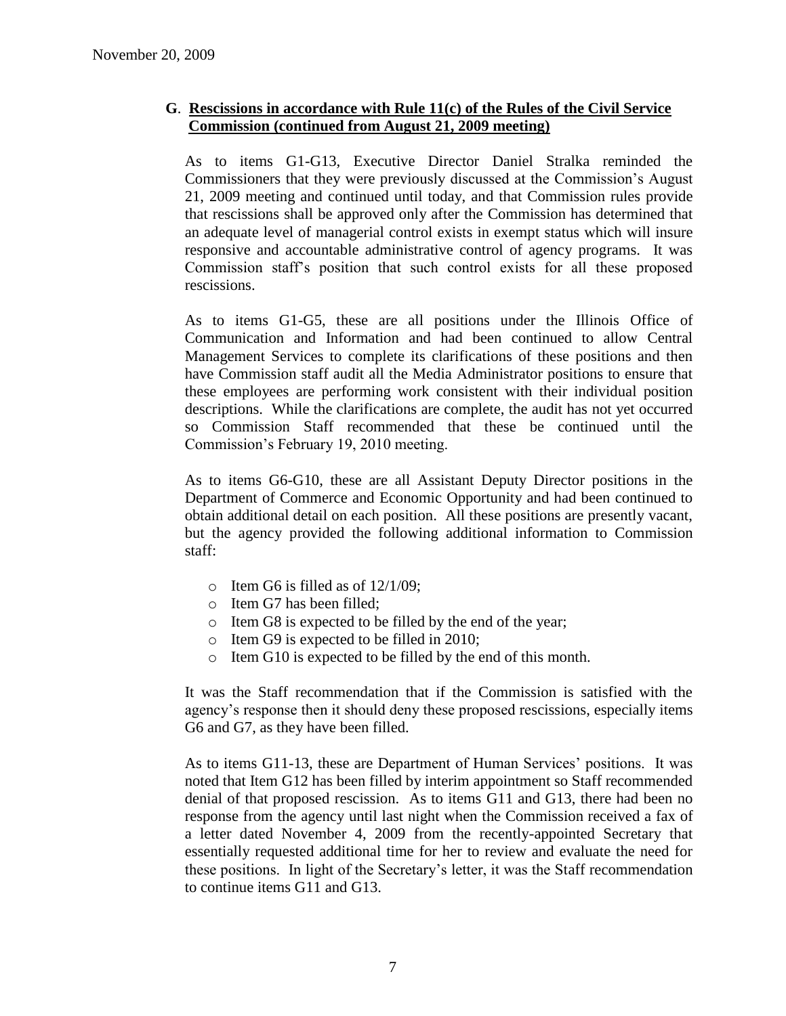### **G**. **Rescissions in accordance with Rule 11(c) of the Rules of the Civil Service Commission (continued from August 21, 2009 meeting)**

As to items G1-G13, Executive Director Daniel Stralka reminded the Commissioners that they were previously discussed at the Commission's August 21, 2009 meeting and continued until today, and that Commission rules provide that rescissions shall be approved only after the Commission has determined that an adequate level of managerial control exists in exempt status which will insure responsive and accountable administrative control of agency programs. It was Commission staff's position that such control exists for all these proposed rescissions.

As to items G1-G5, these are all positions under the Illinois Office of Communication and Information and had been continued to allow Central Management Services to complete its clarifications of these positions and then have Commission staff audit all the Media Administrator positions to ensure that these employees are performing work consistent with their individual position descriptions. While the clarifications are complete, the audit has not yet occurred so Commission Staff recommended that these be continued until the Commission's February 19, 2010 meeting.

As to items G6-G10, these are all Assistant Deputy Director positions in the Department of Commerce and Economic Opportunity and had been continued to obtain additional detail on each position. All these positions are presently vacant, but the agency provided the following additional information to Commission staff:

- $\circ$  Item G6 is filled as of 12/1/09;
- o Item G7 has been filled;
- o Item G8 is expected to be filled by the end of the year;
- o Item G9 is expected to be filled in 2010;
- o Item G10 is expected to be filled by the end of this month.

It was the Staff recommendation that if the Commission is satisfied with the agency's response then it should deny these proposed rescissions, especially items G6 and G7, as they have been filled.

As to items G11-13, these are Department of Human Services' positions. It was noted that Item G12 has been filled by interim appointment so Staff recommended denial of that proposed rescission. As to items G11 and G13, there had been no response from the agency until last night when the Commission received a fax of a letter dated November 4, 2009 from the recently-appointed Secretary that essentially requested additional time for her to review and evaluate the need for these positions. In light of the Secretary's letter, it was the Staff recommendation to continue items G11 and G13.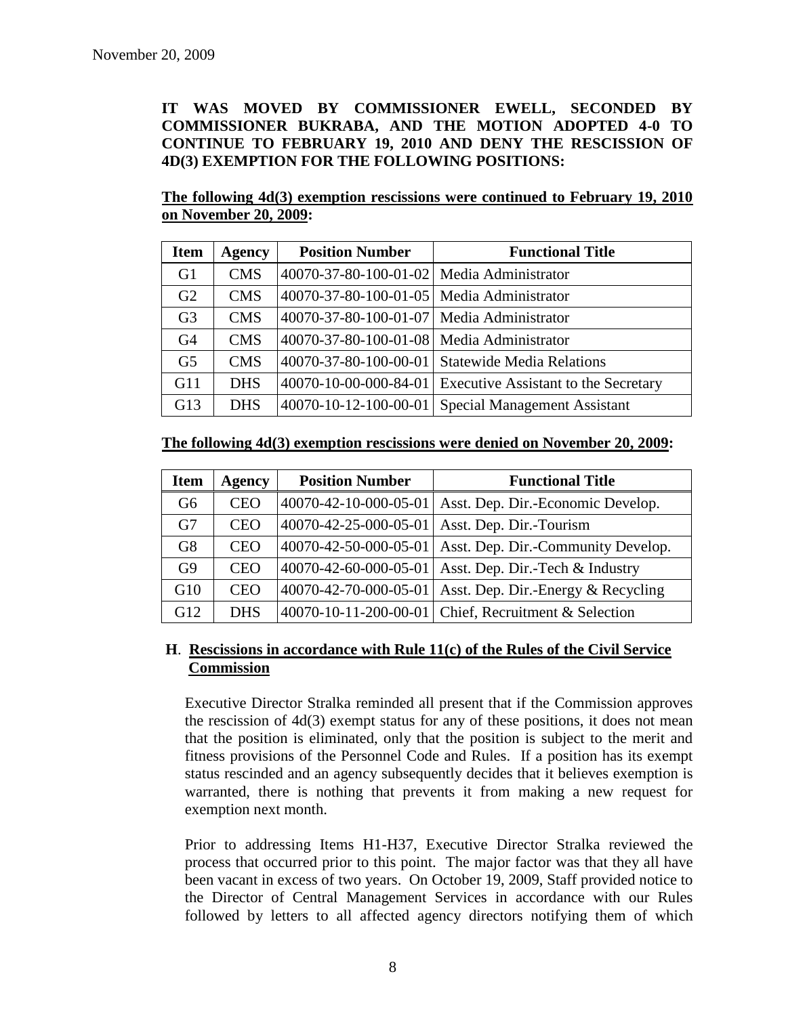**IT WAS MOVED BY COMMISSIONER EWELL, SECONDED BY COMMISSIONER BUKRABA, AND THE MOTION ADOPTED 4-0 TO CONTINUE TO FEBRUARY 19, 2010 AND DENY THE RESCISSION OF 4D(3) EXEMPTION FOR THE FOLLOWING POSITIONS:**

**The following 4d(3) exemption rescissions were continued to February 19, 2010 on November 20, 2009:**

| <b>Item</b>    | <b>Agency</b> | <b>Position Number</b>                    | <b>Functional Title</b>                     |
|----------------|---------------|-------------------------------------------|---------------------------------------------|
| G1             | <b>CMS</b>    | 40070-37-80-100-01-02 Media Administrator |                                             |
| G2             | <b>CMS</b>    | 40070-37-80-100-01-05 Media Administrator |                                             |
| G <sub>3</sub> | <b>CMS</b>    | 40070-37-80-100-01-07 Media Administrator |                                             |
| G <sub>4</sub> | <b>CMS</b>    | 40070-37-80-100-01-08 Media Administrator |                                             |
| G <sub>5</sub> | <b>CMS</b>    | 40070-37-80-100-00-01                     | <b>Statewide Media Relations</b>            |
| G11            | <b>DHS</b>    | 40070-10-00-000-84-01                     | <b>Executive Assistant to the Secretary</b> |
| G13            | <b>DHS</b>    | 40070-10-12-100-00-01                     | <b>Special Management Assistant</b>         |

| The following 4d(3) exemption rescissions were denied on November 20, 2009: |  |  |  |  |  |  |  |  |  |  |
|-----------------------------------------------------------------------------|--|--|--|--|--|--|--|--|--|--|
|-----------------------------------------------------------------------------|--|--|--|--|--|--|--|--|--|--|

| <b>Item</b>    | Agency     | <b>Position Number</b> | <b>Functional Title</b>                              |
|----------------|------------|------------------------|------------------------------------------------------|
| G6             | <b>CEO</b> | 40070-42-10-000-05-01  | Asst. Dep. Dir.-Economic Develop.                    |
| G <sub>7</sub> | <b>CEO</b> | 40070-42-25-000-05-01  | Asst. Dep. Dir.-Tourism                              |
| G8             | <b>CEO</b> | 40070-42-50-000-05-01  | Asst. Dep. Dir.-Community Develop.                   |
| G9             | <b>CEO</b> | 40070-42-60-000-05-01  | Asst. Dep. Dir.-Tech & Industry                      |
| G10            | <b>CEO</b> | 40070-42-70-000-05-01  | Asst. Dep. Dir.-Energy & Recycling                   |
| G12            | <b>DHS</b> |                        | 40070-10-11-200-00-01 Chief, Recruitment & Selection |

### **H**. **Rescissions in accordance with Rule 11(c) of the Rules of the Civil Service Commission**

Executive Director Stralka reminded all present that if the Commission approves the rescission of 4d(3) exempt status for any of these positions, it does not mean that the position is eliminated, only that the position is subject to the merit and fitness provisions of the Personnel Code and Rules. If a position has its exempt status rescinded and an agency subsequently decides that it believes exemption is warranted, there is nothing that prevents it from making a new request for exemption next month.

Prior to addressing Items H1-H37, Executive Director Stralka reviewed the process that occurred prior to this point. The major factor was that they all have been vacant in excess of two years. On October 19, 2009, Staff provided notice to the Director of Central Management Services in accordance with our Rules followed by letters to all affected agency directors notifying them of which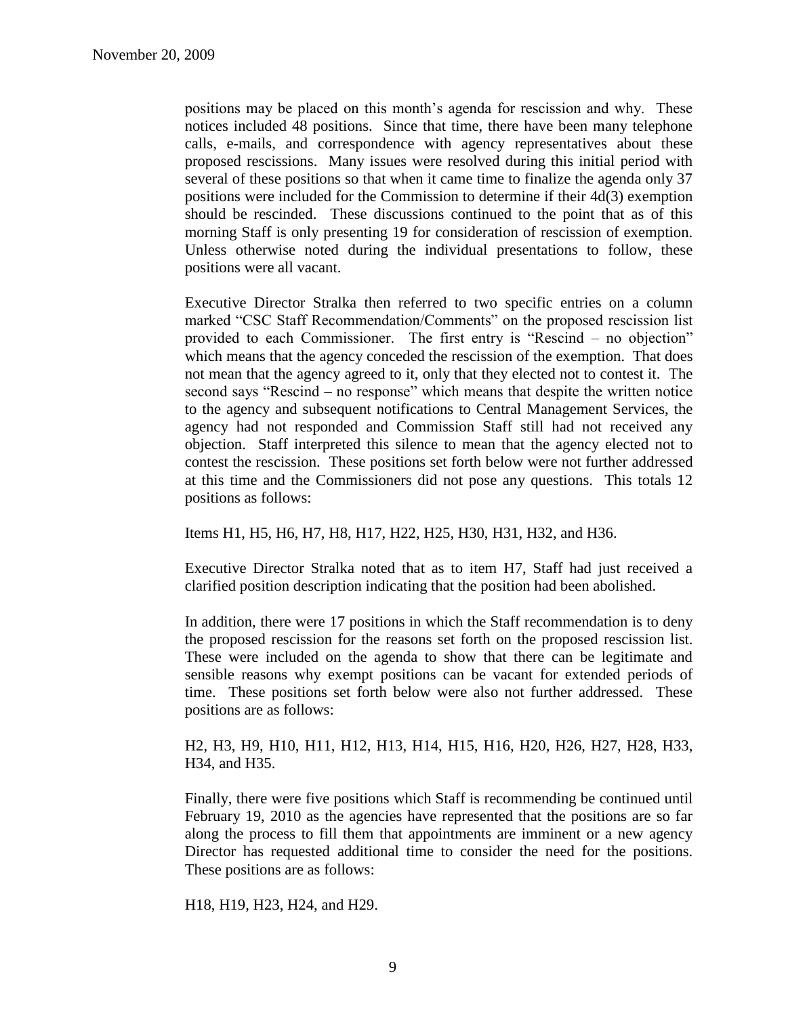positions may be placed on this month's agenda for rescission and why. These notices included 48 positions. Since that time, there have been many telephone calls, e-mails, and correspondence with agency representatives about these proposed rescissions. Many issues were resolved during this initial period with several of these positions so that when it came time to finalize the agenda only 37 positions were included for the Commission to determine if their 4d(3) exemption should be rescinded. These discussions continued to the point that as of this morning Staff is only presenting 19 for consideration of rescission of exemption. Unless otherwise noted during the individual presentations to follow, these positions were all vacant.

Executive Director Stralka then referred to two specific entries on a column marked "CSC Staff Recommendation/Comments" on the proposed rescission list provided to each Commissioner. The first entry is "Rescind – no objection" which means that the agency conceded the rescission of the exemption. That does not mean that the agency agreed to it, only that they elected not to contest it. The second says "Rescind – no response" which means that despite the written notice to the agency and subsequent notifications to Central Management Services, the agency had not responded and Commission Staff still had not received any objection. Staff interpreted this silence to mean that the agency elected not to contest the rescission. These positions set forth below were not further addressed at this time and the Commissioners did not pose any questions. This totals 12 positions as follows:

Items H1, H5, H6, H7, H8, H17, H22, H25, H30, H31, H32, and H36.

Executive Director Stralka noted that as to item H7, Staff had just received a clarified position description indicating that the position had been abolished.

In addition, there were 17 positions in which the Staff recommendation is to deny the proposed rescission for the reasons set forth on the proposed rescission list. These were included on the agenda to show that there can be legitimate and sensible reasons why exempt positions can be vacant for extended periods of time. These positions set forth below were also not further addressed. These positions are as follows:

H2, H3, H9, H10, H11, H12, H13, H14, H15, H16, H20, H26, H27, H28, H33, H34, and H35.

Finally, there were five positions which Staff is recommending be continued until February 19, 2010 as the agencies have represented that the positions are so far along the process to fill them that appointments are imminent or a new agency Director has requested additional time to consider the need for the positions. These positions are as follows:

H18, H19, H23, H24, and H29.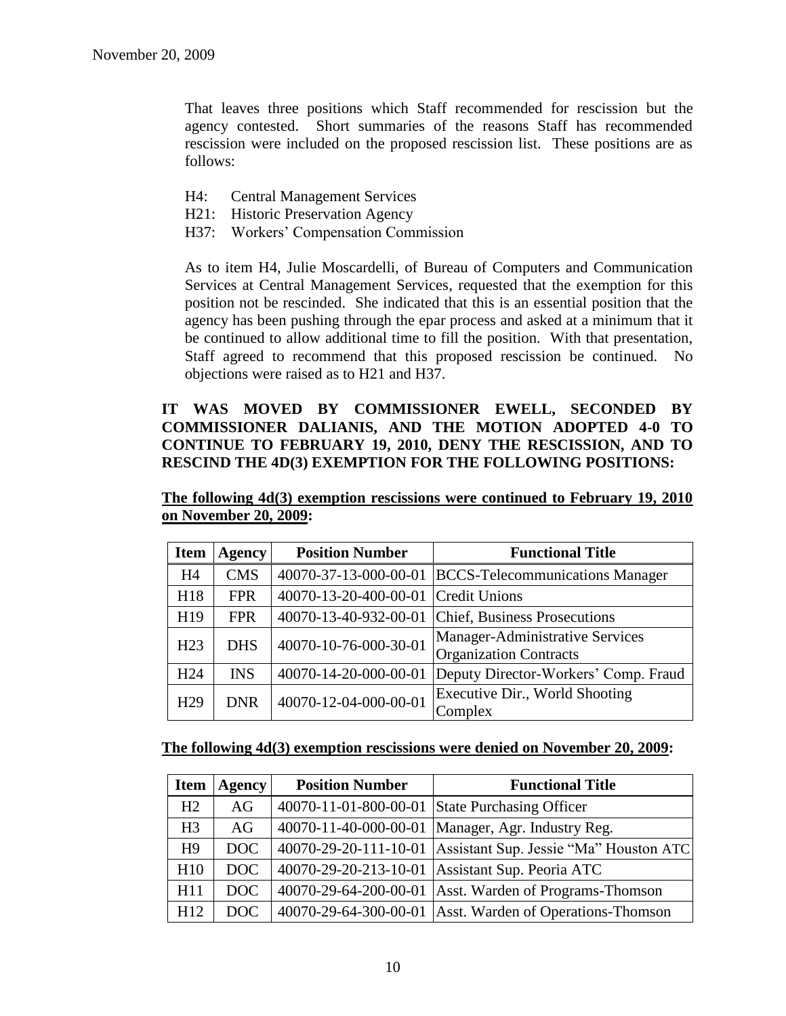That leaves three positions which Staff recommended for rescission but the agency contested. Short summaries of the reasons Staff has recommended rescission were included on the proposed rescission list. These positions are as follows:

- H4: Central Management Services
- H21: Historic Preservation Agency
- H37: Workers' Compensation Commission

As to item H4, Julie Moscardelli, of Bureau of Computers and Communication Services at Central Management Services, requested that the exemption for this position not be rescinded. She indicated that this is an essential position that the agency has been pushing through the epar process and asked at a minimum that it be continued to allow additional time to fill the position. With that presentation, Staff agreed to recommend that this proposed rescission be continued. No objections were raised as to H21 and H37.

### **IT WAS MOVED BY COMMISSIONER EWELL, SECONDED BY COMMISSIONER DALIANIS, AND THE MOTION ADOPTED 4-0 TO CONTINUE TO FEBRUARY 19, 2010, DENY THE RESCISSION, AND TO RESCIND THE 4D(3) EXEMPTION FOR THE FOLLOWING POSITIONS:**

**The following 4d(3) exemption rescissions were continued to February 19, 2010 on November 20, 2009:**

| <b>Item</b>     | <b>Agency</b> | <b>Position Number</b> | <b>Functional Title</b>                                          |
|-----------------|---------------|------------------------|------------------------------------------------------------------|
| H4              | <b>CMS</b>    | 40070-37-13-000-00-01  | <b>BCCS-Telecommunications Manager</b>                           |
| H18             | <b>FPR</b>    | 40070-13-20-400-00-01  | Credit Unions                                                    |
| H19             | <b>FPR</b>    | 40070-13-40-932-00-01  | Chief, Business Prosecutions                                     |
| H <sub>23</sub> | <b>DHS</b>    | 40070-10-76-000-30-01  | Manager-Administrative Services<br><b>Organization Contracts</b> |
| H <sub>24</sub> | <b>INS</b>    | 40070-14-20-000-00-01  | Deputy Director-Workers' Comp. Fraud                             |
| H <sub>29</sub> | <b>DNR</b>    | 40070-12-04-000-00-01  | Executive Dir., World Shooting<br>Complex                        |

#### **The following 4d(3) exemption rescissions were denied on November 20, 2009:**

| <b>Item</b>     | <b>Agency</b> | <b>Position Number</b> | <b>Functional Title</b>                                        |
|-----------------|---------------|------------------------|----------------------------------------------------------------|
| H2              | AG            |                        | 40070-11-01-800-00-01 State Purchasing Officer                 |
| H <sub>3</sub>  | AG            |                        | 40070-11-40-000-00-01   Manager, Agr. Industry Reg.            |
| H <sub>9</sub>  | DOC           |                        | 40070-29-20-111-10-01   Assistant Sup. Jessie "Ma" Houston ATC |
| H10             | DOC           |                        | 40070-29-20-213-10-01 Assistant Sup. Peoria ATC                |
| H11             | DOC           |                        | 40070-29-64-200-00-01   Asst. Warden of Programs-Thomson       |
| H <sub>12</sub> | DOC           |                        | 40070-29-64-300-00-01 Asst. Warden of Operations-Thomson       |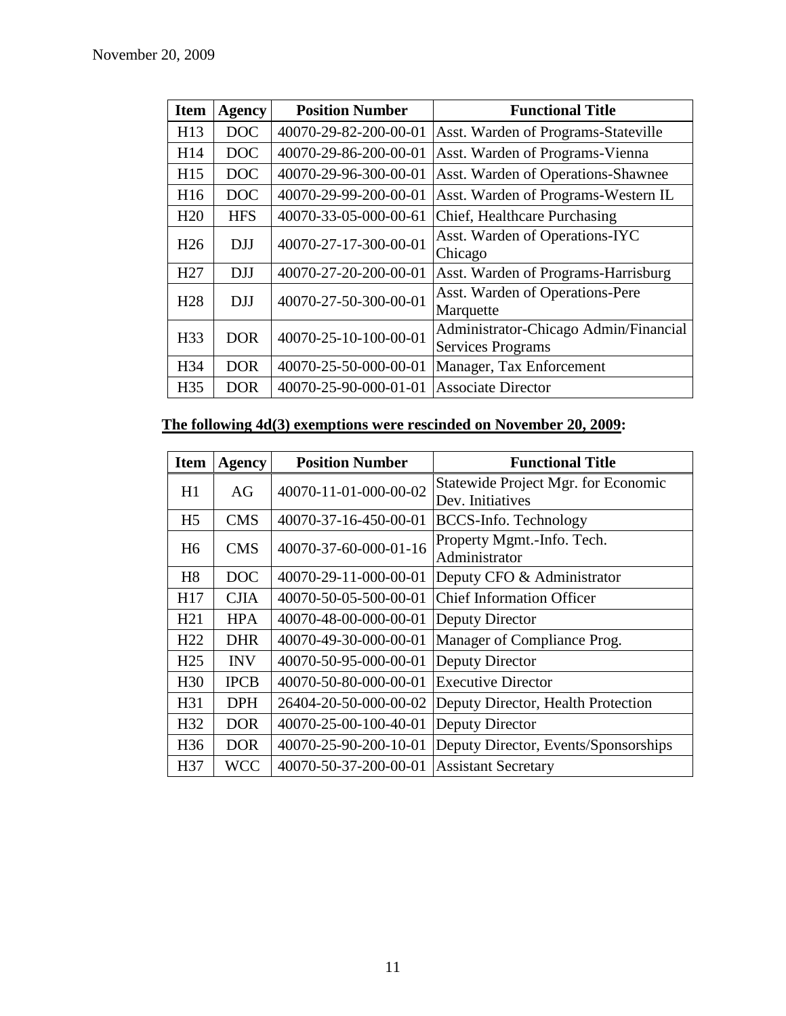| <b>Item</b>     | <b>Agency</b> | <b>Position Number</b> | <b>Functional Title</b>                                           |
|-----------------|---------------|------------------------|-------------------------------------------------------------------|
| H13             | DOC           | 40070-29-82-200-00-01  | Asst. Warden of Programs-Stateville                               |
| H14             | DOC           | 40070-29-86-200-00-01  | Asst. Warden of Programs-Vienna                                   |
| H15             | DOC           | 40070-29-96-300-00-01  | Asst. Warden of Operations-Shawnee                                |
| H <sub>16</sub> | DOC           | 40070-29-99-200-00-01  | Asst. Warden of Programs-Western IL                               |
| H20             | <b>HFS</b>    | 40070-33-05-000-00-61  | Chief, Healthcare Purchasing                                      |
| H <sub>26</sub> | <b>DJJ</b>    | 40070-27-17-300-00-01  | Asst. Warden of Operations-IYC<br>Chicago                         |
| H <sub>27</sub> | <b>DJJ</b>    | 40070-27-20-200-00-01  | Asst. Warden of Programs-Harrisburg                               |
| H <sub>28</sub> | DJJ           | 40070-27-50-300-00-01  | Asst. Warden of Operations-Pere<br>Marquette                      |
| H <sub>33</sub> | <b>DOR</b>    | 40070-25-10-100-00-01  | Administrator-Chicago Admin/Financial<br><b>Services Programs</b> |
| H34             | <b>DOR</b>    | 40070-25-50-000-00-01  | Manager, Tax Enforcement                                          |
| H <sub>35</sub> | <b>DOR</b>    | 40070-25-90-000-01-01  | <b>Associate Director</b>                                         |

# **The following 4d(3) exemptions were rescinded on November 20, 2009:**

| <b>Item</b>     | <b>Agency</b> | <b>Position Number</b> | <b>Functional Title</b>                     |
|-----------------|---------------|------------------------|---------------------------------------------|
| H1              | AG            | 40070-11-01-000-00-02  | Statewide Project Mgr. for Economic         |
|                 |               |                        | Dev. Initiatives                            |
| H <sub>5</sub>  | <b>CMS</b>    | 40070-37-16-450-00-01  | BCCS-Info. Technology                       |
| H <sub>6</sub>  | <b>CMS</b>    | 40070-37-60-000-01-16  | Property Mgmt.-Info. Tech.<br>Administrator |
| H <sub>8</sub>  | DOC           | 40070-29-11-000-00-01  | Deputy CFO & Administrator                  |
| H17             | <b>CJIA</b>   | 40070-50-05-500-00-01  | <b>Chief Information Officer</b>            |
| H21             | <b>HPA</b>    | 40070-48-00-000-00-01  | Deputy Director                             |
| H <sub>22</sub> | <b>DHR</b>    | 40070-49-30-000-00-01  | Manager of Compliance Prog.                 |
| H <sub>25</sub> | <b>INV</b>    | 40070-50-95-000-00-01  | Deputy Director                             |
| H <sub>30</sub> | <b>IPCB</b>   | 40070-50-80-000-00-01  | <b>Executive Director</b>                   |
| H31             | <b>DPH</b>    | 26404-20-50-000-00-02  | Deputy Director, Health Protection          |
| H32             | <b>DOR</b>    | 40070-25-00-100-40-01  | Deputy Director                             |
| H <sub>36</sub> | <b>DOR</b>    | 40070-25-90-200-10-01  | Deputy Director, Events/Sponsorships        |
| H37             | <b>WCC</b>    | 40070-50-37-200-00-01  | <b>Assistant Secretary</b>                  |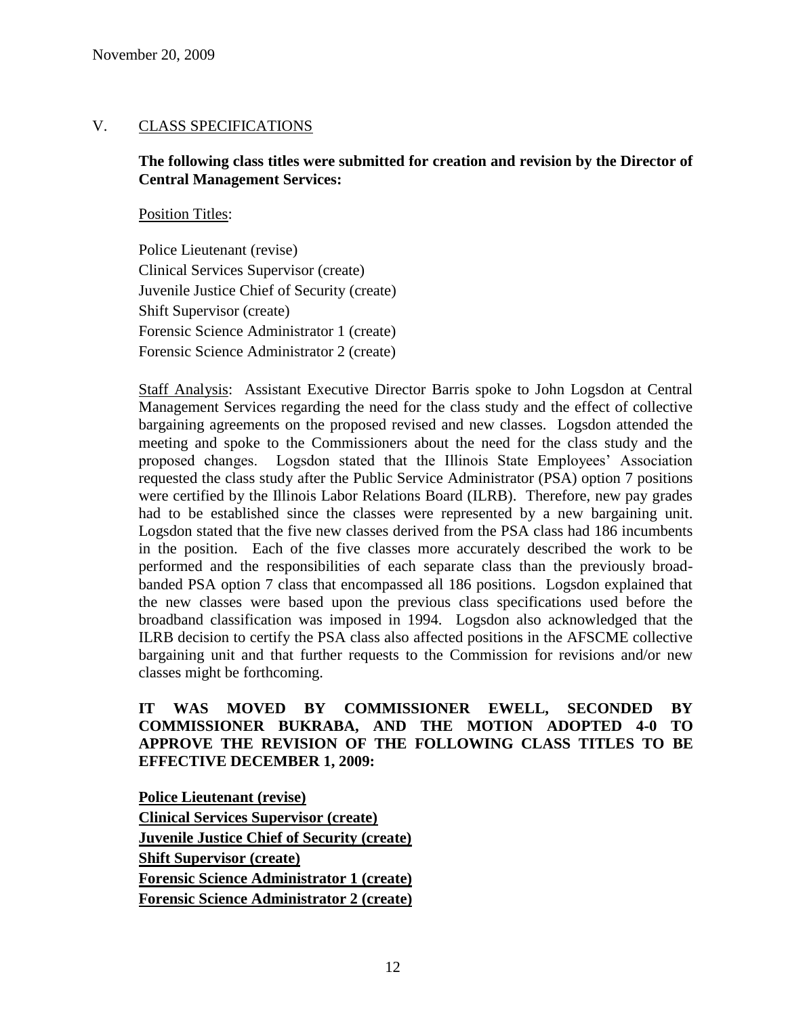### V. CLASS SPECIFICATIONS

### **The following class titles were submitted for creation and revision by the Director of Central Management Services:**

Position Titles:

Police Lieutenant (revise) Clinical Services Supervisor (create) Juvenile Justice Chief of Security (create) Shift Supervisor (create) Forensic Science Administrator 1 (create) Forensic Science Administrator 2 (create)

Staff Analysis: Assistant Executive Director Barris spoke to John Logsdon at Central Management Services regarding the need for the class study and the effect of collective bargaining agreements on the proposed revised and new classes. Logsdon attended the meeting and spoke to the Commissioners about the need for the class study and the proposed changes. Logsdon stated that the Illinois State Employees' Association requested the class study after the Public Service Administrator (PSA) option 7 positions were certified by the Illinois Labor Relations Board (ILRB). Therefore, new pay grades had to be established since the classes were represented by a new bargaining unit. Logsdon stated that the five new classes derived from the PSA class had 186 incumbents in the position. Each of the five classes more accurately described the work to be performed and the responsibilities of each separate class than the previously broadbanded PSA option 7 class that encompassed all 186 positions. Logsdon explained that the new classes were based upon the previous class specifications used before the broadband classification was imposed in 1994. Logsdon also acknowledged that the ILRB decision to certify the PSA class also affected positions in the AFSCME collective bargaining unit and that further requests to the Commission for revisions and/or new classes might be forthcoming.

### **IT WAS MOVED BY COMMISSIONER EWELL, SECONDED BY COMMISSIONER BUKRABA, AND THE MOTION ADOPTED 4-0 TO APPROVE THE REVISION OF THE FOLLOWING CLASS TITLES TO BE EFFECTIVE DECEMBER 1, 2009:**

**Police Lieutenant (revise) Clinical Services Supervisor (create) Juvenile Justice Chief of Security (create) Shift Supervisor (create) Forensic Science Administrator 1 (create) Forensic Science Administrator 2 (create)**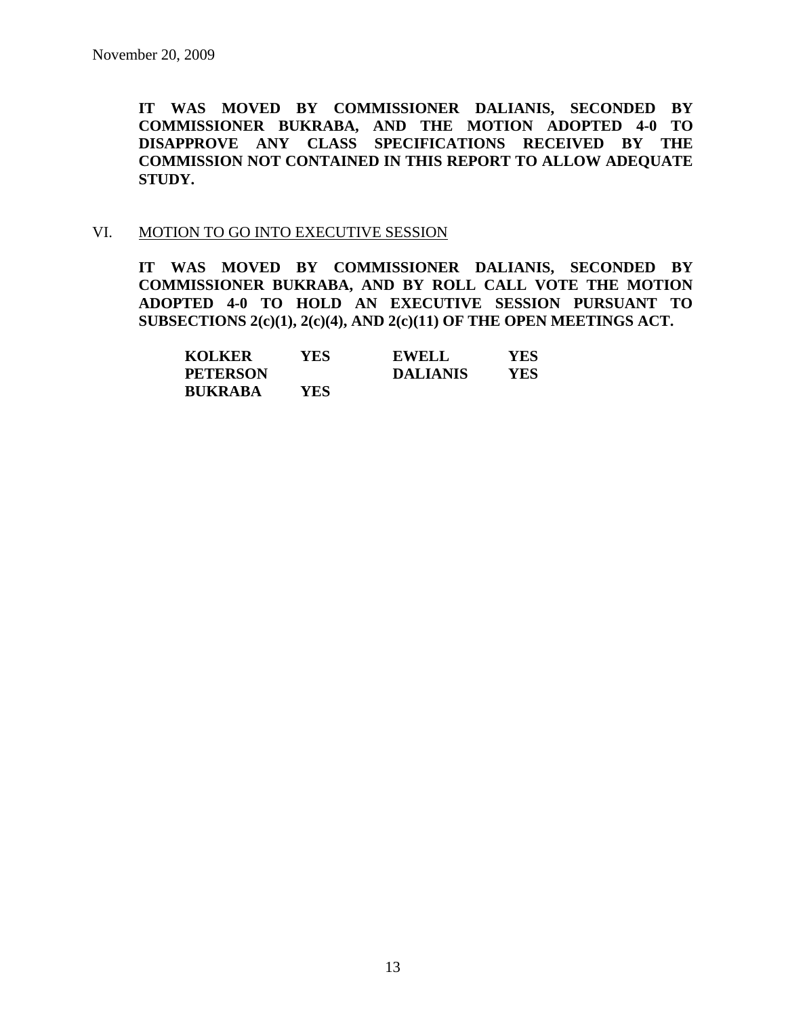**IT WAS MOVED BY COMMISSIONER DALIANIS, SECONDED BY COMMISSIONER BUKRABA, AND THE MOTION ADOPTED 4-0 TO DISAPPROVE ANY CLASS SPECIFICATIONS RECEIVED BY THE COMMISSION NOT CONTAINED IN THIS REPORT TO ALLOW ADEQUATE STUDY.** 

#### VI. MOTION TO GO INTO EXECUTIVE SESSION

**IT WAS MOVED BY COMMISSIONER DALIANIS, SECONDED BY COMMISSIONER BUKRABA, AND BY ROLL CALL VOTE THE MOTION ADOPTED 4-0 TO HOLD AN EXECUTIVE SESSION PURSUANT TO SUBSECTIONS 2(c)(1), 2(c)(4), AND 2(c)(11) OF THE OPEN MEETINGS ACT.** 

| <b>KOLKER</b>   | YES. | <b>EWELL</b>    | YES. |
|-----------------|------|-----------------|------|
| <b>PETERSON</b> |      | <b>DALIANIS</b> | YES. |
| <b>BUKRABA</b>  | YES. |                 |      |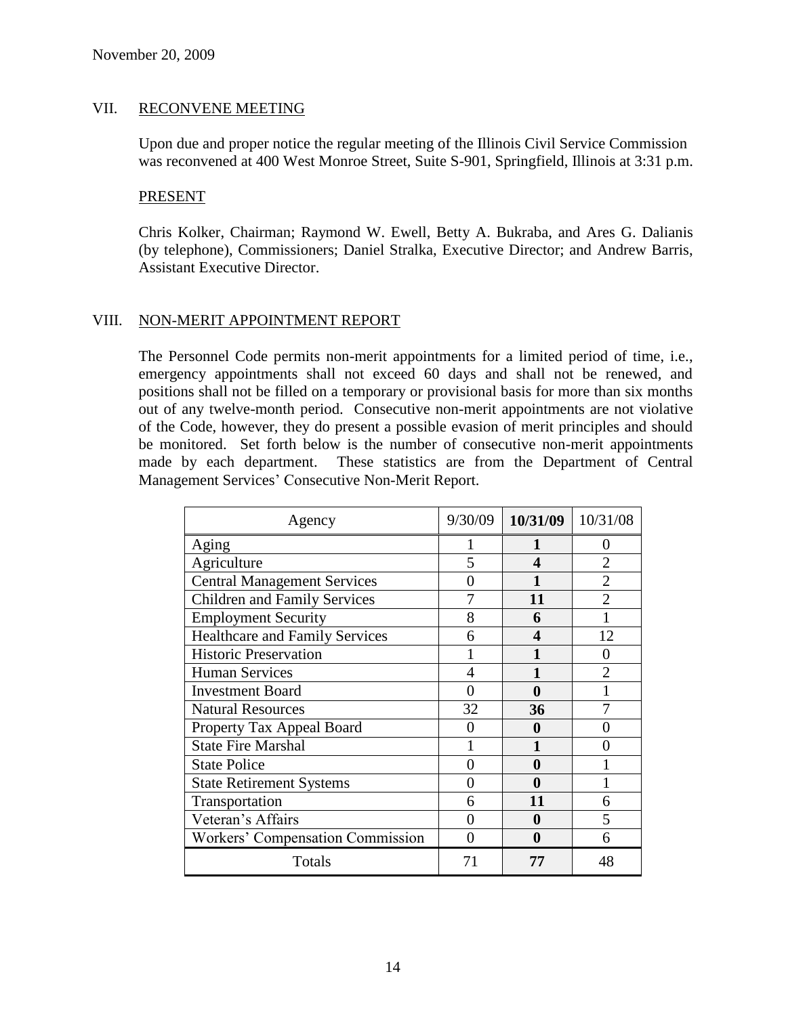### VII. RECONVENE MEETING

Upon due and proper notice the regular meeting of the Illinois Civil Service Commission was reconvened at 400 West Monroe Street, Suite S-901, Springfield, Illinois at 3:31 p.m.

### PRESENT

Chris Kolker, Chairman; Raymond W. Ewell, Betty A. Bukraba, and Ares G. Dalianis (by telephone), Commissioners; Daniel Stralka, Executive Director; and Andrew Barris, Assistant Executive Director.

### VIII. NON-MERIT APPOINTMENT REPORT

The Personnel Code permits non-merit appointments for a limited period of time, i.e., emergency appointments shall not exceed 60 days and shall not be renewed, and positions shall not be filled on a temporary or provisional basis for more than six months out of any twelve-month period. Consecutive non-merit appointments are not violative of the Code, however, they do present a possible evasion of merit principles and should be monitored. Set forth below is the number of consecutive non-merit appointments made by each department. These statistics are from the Department of Central Management Services' Consecutive Non-Merit Report.

| Agency                                | 9/30/09           | 10/31/09 | 10/31/08 |
|---------------------------------------|-------------------|----------|----------|
| Aging                                 |                   |          | 0        |
| Agriculture                           | 5                 |          |          |
| <b>Central Management Services</b>    |                   |          |          |
| <b>Children and Family Services</b>   |                   | 11       |          |
| <b>Employment Security</b>            | 8                 | 6        |          |
| <b>Healthcare and Family Services</b> | 6                 | 4        | 12       |
| <b>Historic Preservation</b>          |                   |          | 0        |
| <b>Human Services</b>                 | 4                 |          |          |
| <b>Investment Board</b>               |                   | 0        |          |
| <b>Natural Resources</b>              | 32                | 36       |          |
| Property Tax Appeal Board             |                   | 0        |          |
| <b>State Fire Marshal</b>             |                   |          |          |
| <b>State Police</b>                   | $\mathbf{\Omega}$ | 0        |          |
| <b>State Retirement Systems</b>       | 0                 | 0        |          |
| Transportation                        | 6                 | 11       | 6        |
| Veteran's Affairs                     |                   | 0        | 5        |
| Workers' Compensation Commission      |                   | 0        | 6        |
| Totals                                |                   | 77       | 48       |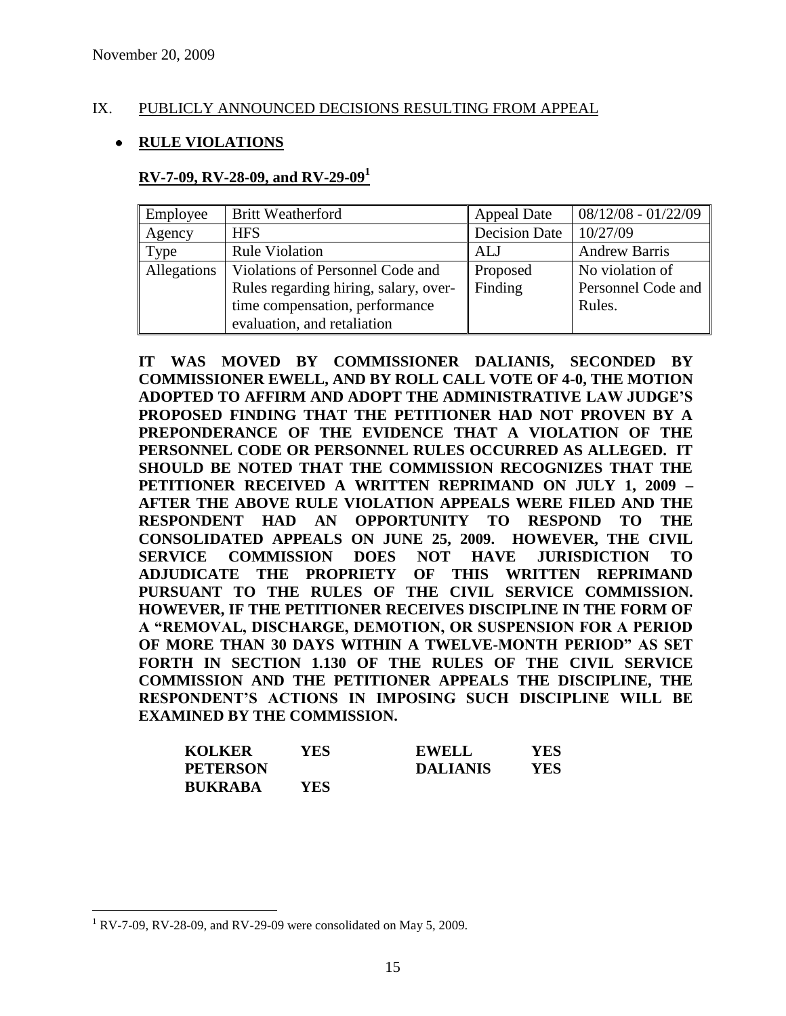### IX. PUBLICLY ANNOUNCED DECISIONS RESULTING FROM APPEAL

### **RULE VIOLATIONS**

#### **RV-7-09, RV-28-09, and RV-29-09<sup>1</sup>**

| Employee    | <b>Britt Weatherford</b>              | <b>Appeal Date</b> | $08/12/08 - 01/22/09$ |
|-------------|---------------------------------------|--------------------|-----------------------|
| Agency      | <b>HFS</b>                            | Decision Date      | 10/27/09              |
| Type        | <b>Rule Violation</b>                 | ALJ                | <b>Andrew Barris</b>  |
| Allegations | Violations of Personnel Code and      | Proposed           | No violation of       |
|             | Rules regarding hiring, salary, over- | Finding            | Personnel Code and    |
|             | time compensation, performance        |                    | Rules.                |
|             | evaluation, and retaliation           |                    |                       |

**IT WAS MOVED BY COMMISSIONER DALIANIS, SECONDED BY COMMISSIONER EWELL, AND BY ROLL CALL VOTE OF 4-0, THE MOTION ADOPTED TO AFFIRM AND ADOPT THE ADMINISTRATIVE LAW JUDGE'S PROPOSED FINDING THAT THE PETITIONER HAD NOT PROVEN BY A PREPONDERANCE OF THE EVIDENCE THAT A VIOLATION OF THE PERSONNEL CODE OR PERSONNEL RULES OCCURRED AS ALLEGED. IT SHOULD BE NOTED THAT THE COMMISSION RECOGNIZES THAT THE PETITIONER RECEIVED A WRITTEN REPRIMAND ON JULY 1, 2009 – AFTER THE ABOVE RULE VIOLATION APPEALS WERE FILED AND THE RESPONDENT HAD AN OPPORTUNITY TO RESPOND TO THE CONSOLIDATED APPEALS ON JUNE 25, 2009. HOWEVER, THE CIVIL SERVICE COMMISSION DOES NOT HAVE JURISDICTION TO ADJUDICATE THE PROPRIETY OF THIS WRITTEN REPRIMAND PURSUANT TO THE RULES OF THE CIVIL SERVICE COMMISSION. HOWEVER, IF THE PETITIONER RECEIVES DISCIPLINE IN THE FORM OF A "REMOVAL, DISCHARGE, DEMOTION, OR SUSPENSION FOR A PERIOD OF MORE THAN 30 DAYS WITHIN A TWELVE-MONTH PERIOD" AS SET FORTH IN SECTION 1.130 OF THE RULES OF THE CIVIL SERVICE COMMISSION AND THE PETITIONER APPEALS THE DISCIPLINE, THE RESPONDENT'S ACTIONS IN IMPOSING SUCH DISCIPLINE WILL BE EXAMINED BY THE COMMISSION.**

| <b>KOLKER</b>   | YES | <b>EWELL</b>    | YES |
|-----------------|-----|-----------------|-----|
| <b>PETERSON</b> |     | <b>DALIANIS</b> | YES |
| <b>BUKRABA</b>  | YES |                 |     |

 $\overline{a}$ 

 $1$  RV-7-09, RV-28-09, and RV-29-09 were consolidated on May 5, 2009.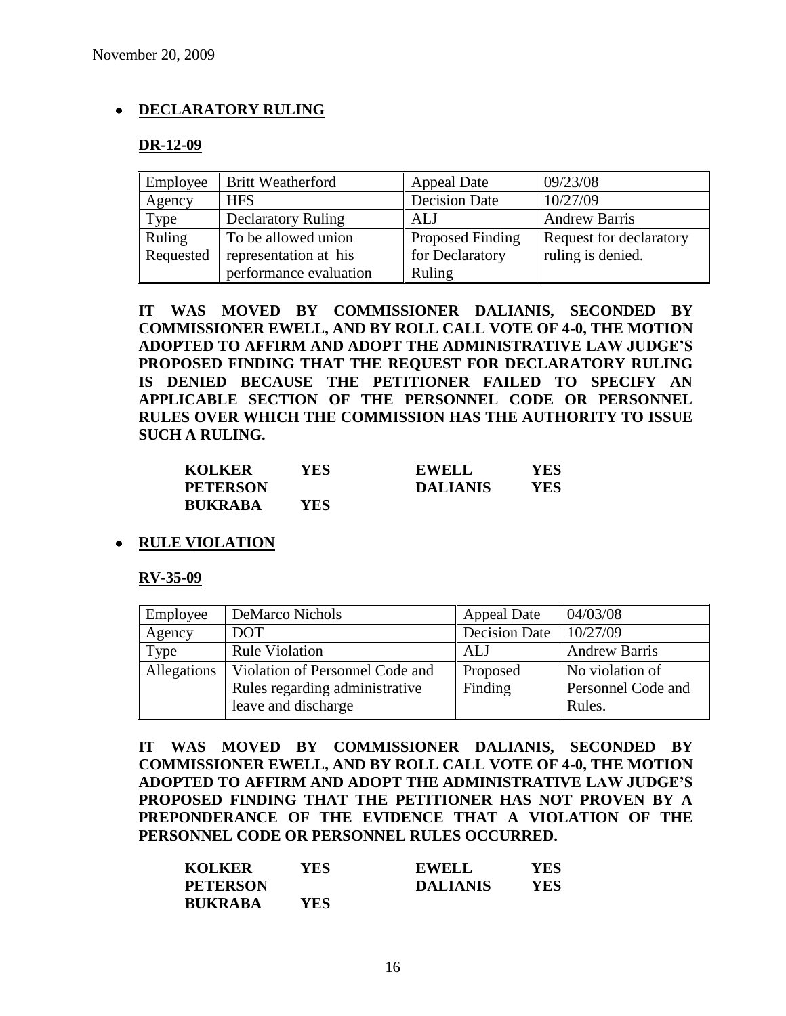### **DECLARATORY RULING**

### **DR-12-09**

| Employee  | <b>Britt Weatherford</b>  | <b>Appeal Date</b>      | 09/23/08                |
|-----------|---------------------------|-------------------------|-------------------------|
| Agency    | <b>HFS</b>                | <b>Decision Date</b>    | 10/27/09                |
| Type      | <b>Declaratory Ruling</b> | AIJ                     | <b>Andrew Barris</b>    |
| Ruling    | To be allowed union       | <b>Proposed Finding</b> | Request for declaratory |
| Requested | representation at his     | for Declaratory         | ruling is denied.       |
|           | performance evaluation    | Ruling                  |                         |

**IT WAS MOVED BY COMMISSIONER DALIANIS, SECONDED BY COMMISSIONER EWELL, AND BY ROLL CALL VOTE OF 4-0, THE MOTION ADOPTED TO AFFIRM AND ADOPT THE ADMINISTRATIVE LAW JUDGE'S PROPOSED FINDING THAT THE REQUEST FOR DECLARATORY RULING IS DENIED BECAUSE THE PETITIONER FAILED TO SPECIFY AN APPLICABLE SECTION OF THE PERSONNEL CODE OR PERSONNEL RULES OVER WHICH THE COMMISSION HAS THE AUTHORITY TO ISSUE SUCH A RULING.**

| <b>KOLKER</b>   | YES. | <b>EWELL</b>    | YES |
|-----------------|------|-----------------|-----|
| <b>PETERSON</b> |      | <b>DALIANIS</b> | YES |
| <b>BUKRABA</b>  | YES. |                 |     |

**RULE VIOLATION**

### **RV-35-09**

| Employee    | <b>DeMarco Nichols</b>          | <b>Appeal Date</b>   | 04/03/08             |
|-------------|---------------------------------|----------------------|----------------------|
| Agency      | <b>DOT</b>                      | <b>Decision Date</b> | 10/27/09             |
| Type        | <b>Rule Violation</b>           | ALJ                  | <b>Andrew Barris</b> |
| Allegations | Violation of Personnel Code and | Proposed             | No violation of      |
|             | Rules regarding administrative  | Finding              | Personnel Code and   |
|             | leave and discharge             |                      | Rules.               |

**IT WAS MOVED BY COMMISSIONER DALIANIS, SECONDED BY COMMISSIONER EWELL, AND BY ROLL CALL VOTE OF 4-0, THE MOTION ADOPTED TO AFFIRM AND ADOPT THE ADMINISTRATIVE LAW JUDGE'S PROPOSED FINDING THAT THE PETITIONER HAS NOT PROVEN BY A PREPONDERANCE OF THE EVIDENCE THAT A VIOLATION OF THE PERSONNEL CODE OR PERSONNEL RULES OCCURRED.**

| <b>KOLKER</b>   | YES  | <b>EWELL</b>    | YES |
|-----------------|------|-----------------|-----|
| <b>PETERSON</b> |      | <b>DALIANIS</b> | YES |
| <b>BUKRABA</b>  | YES. |                 |     |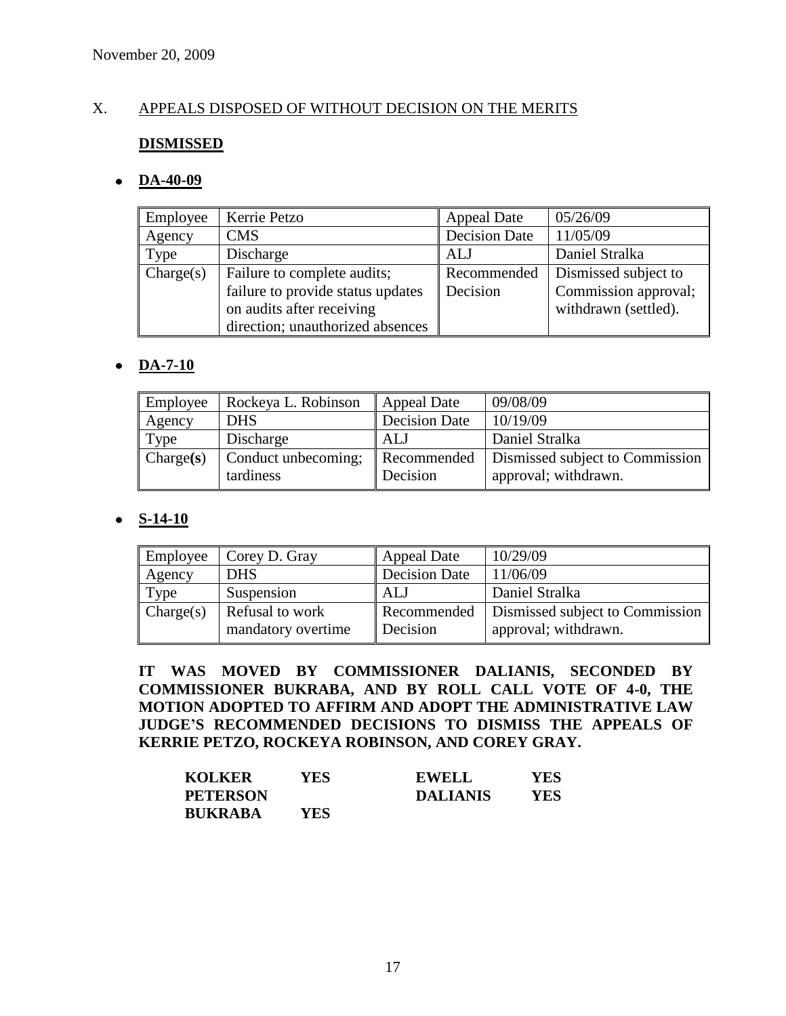### X. APPEALS DISPOSED OF WITHOUT DECISION ON THE MERITS

### **DISMISSED**

### **DA-40-09**

| Employee  | Kerrie Petzo                                                                                                                      | <b>Appeal Date</b>      | 05/26/09                                                             |
|-----------|-----------------------------------------------------------------------------------------------------------------------------------|-------------------------|----------------------------------------------------------------------|
| Agency    | <b>CMS</b>                                                                                                                        | <b>Decision Date</b>    | 11/05/09                                                             |
| Type      | Discharge                                                                                                                         | ALJ                     | Daniel Stralka                                                       |
| Change(s) | Failure to complete audits;<br>failure to provide status updates<br>on audits after receiving<br>direction; unauthorized absences | Recommended<br>Decision | Dismissed subject to<br>Commission approval;<br>withdrawn (settled). |

### **DA-7-10**

| Employee  | Rockeya L. Robinson              | <b>Appeal Date</b>      | 09/08/09                                                |
|-----------|----------------------------------|-------------------------|---------------------------------------------------------|
| Agency    | <b>DHS</b>                       | <b>Decision Date</b>    | 10/19/09                                                |
| Type      | Discharge                        | ALJ                     | Daniel Stralka                                          |
| Change(s) | Conduct unbecoming;<br>tardiness | Recommended<br>Decision | Dismissed subject to Commission<br>approval; withdrawn. |

### **S-14-10**

| Employee  | Corey D. Gray                         | <b>Appeal Date</b>      | 10/29/09                                                |
|-----------|---------------------------------------|-------------------------|---------------------------------------------------------|
| Agency    | <b>DHS</b>                            | <b>Decision Date</b>    | 11/06/09                                                |
| Type      | Suspension                            | ALJ                     | Daniel Stralka                                          |
| Change(s) | Refusal to work<br>mandatory overtime | Recommended<br>Decision | Dismissed subject to Commission<br>approval; withdrawn. |

**IT WAS MOVED BY COMMISSIONER DALIANIS, SECONDED BY COMMISSIONER BUKRABA, AND BY ROLL CALL VOTE OF 4-0, THE MOTION ADOPTED TO AFFIRM AND ADOPT THE ADMINISTRATIVE LAW JUDGE'S RECOMMENDED DECISIONS TO DISMISS THE APPEALS OF KERRIE PETZO, ROCKEYA ROBINSON, AND COREY GRAY.**

| <b>KOLKER</b>   | YES. | <b>EWELL</b>    | YES |
|-----------------|------|-----------------|-----|
| <b>PETERSON</b> |      | <b>DALIANIS</b> | YES |
| <b>BUKRABA</b>  | YES  |                 |     |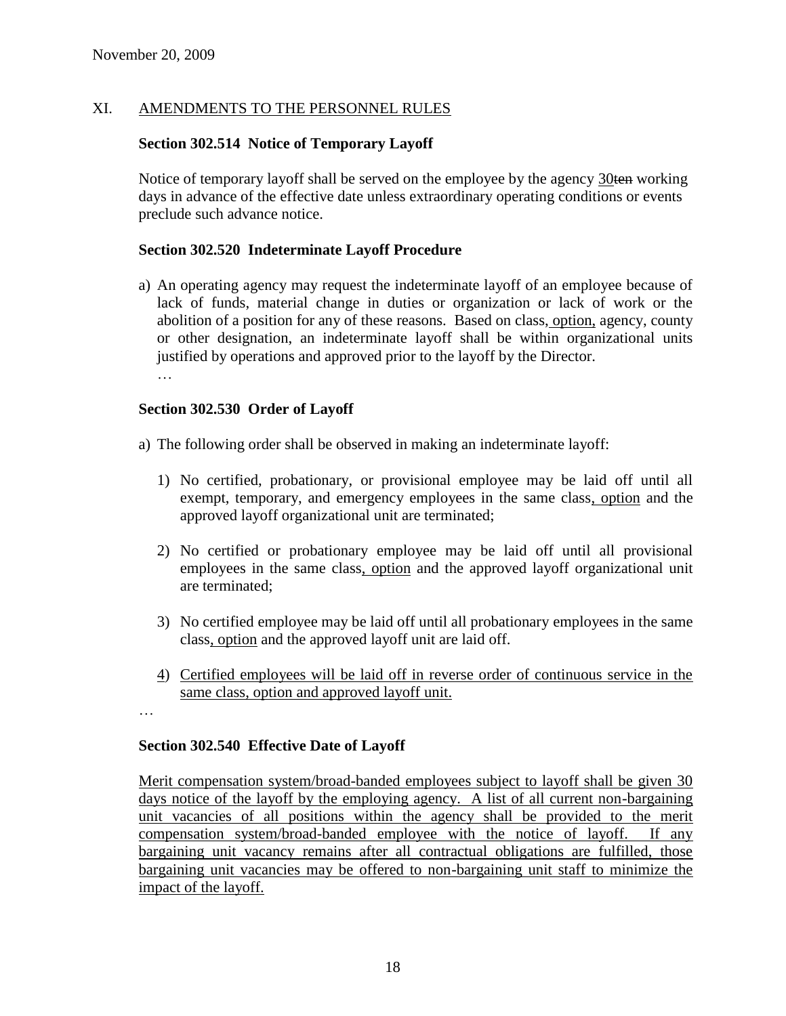### XI. AMENDMENTS TO THE PERSONNEL RULES

### **Section 302.514 Notice of Temporary Layoff**

Notice of temporary layoff shall be served on the employee by the agency 30ten working days in advance of the effective date unless extraordinary operating conditions or events preclude such advance notice.

### **Section 302.520 Indeterminate Layoff Procedure**

a) An operating agency may request the indeterminate layoff of an employee because of lack of funds, material change in duties or organization or lack of work or the abolition of a position for any of these reasons. Based on class, option, agency, county or other designation, an indeterminate layoff shall be within organizational units justified by operations and approved prior to the layoff by the Director. …

### **Section 302.530 Order of Layoff**

a) The following order shall be observed in making an indeterminate layoff:

- 1) No certified, probationary, or provisional employee may be laid off until all exempt, temporary, and emergency employees in the same class, option and the approved layoff organizational unit are terminated;
- 2) No certified or probationary employee may be laid off until all provisional employees in the same class, option and the approved layoff organizational unit are terminated;
- 3) No certified employee may be laid off until all probationary employees in the same class, option and the approved layoff unit are laid off.
- 4) Certified employees will be laid off in reverse order of continuous service in the same class, option and approved layoff unit.
- …

### **Section 302.540 Effective Date of Layoff**

Merit compensation system/broad-banded employees subject to layoff shall be given 30 days notice of the layoff by the employing agency. A list of all current non-bargaining unit vacancies of all positions within the agency shall be provided to the merit compensation system/broad-banded employee with the notice of layoff. If any bargaining unit vacancy remains after all contractual obligations are fulfilled, those bargaining unit vacancies may be offered to non-bargaining unit staff to minimize the impact of the layoff.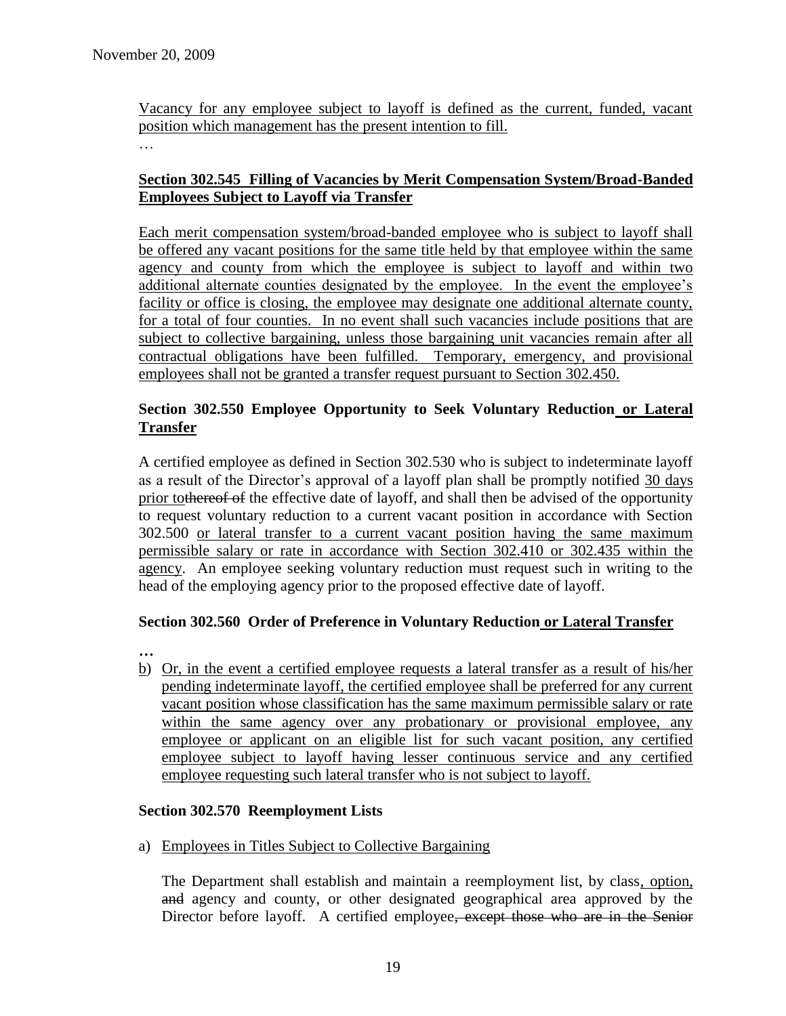Vacancy for any employee subject to layoff is defined as the current, funded, vacant position which management has the present intention to fill.

…

### **Section 302.545 Filling of Vacancies by Merit Compensation System/Broad-Banded Employees Subject to Layoff via Transfer**

Each merit compensation system/broad-banded employee who is subject to layoff shall be offered any vacant positions for the same title held by that employee within the same agency and county from which the employee is subject to layoff and within two additional alternate counties designated by the employee. In the event the employee's facility or office is closing, the employee may designate one additional alternate county, for a total of four counties. In no event shall such vacancies include positions that are subject to collective bargaining, unless those bargaining unit vacancies remain after all contractual obligations have been fulfilled. Temporary, emergency, and provisional employees shall not be granted a transfer request pursuant to Section 302.450.

### **Section 302.550 Employee Opportunity to Seek Voluntary Reduction or Lateral Transfer**

A certified employee as defined in Section 302.530 who is subject to indeterminate layoff as a result of the Director's approval of a layoff plan shall be promptly notified 30 days prior tothereof of the effective date of layoff, and shall then be advised of the opportunity to request voluntary reduction to a current vacant position in accordance with Section 302.500 or lateral transfer to a current vacant position having the same maximum permissible salary or rate in accordance with Section 302.410 or 302.435 within the agency. An employee seeking voluntary reduction must request such in writing to the head of the employing agency prior to the proposed effective date of layoff.

### **Section 302.560 Order of Preference in Voluntary Reduction or Lateral Transfer**

- **…**
- b) Or, in the event a certified employee requests a lateral transfer as a result of his/her pending indeterminate layoff, the certified employee shall be preferred for any current vacant position whose classification has the same maximum permissible salary or rate within the same agency over any probationary or provisional employee, any employee or applicant on an eligible list for such vacant position, any certified employee subject to layoff having lesser continuous service and any certified employee requesting such lateral transfer who is not subject to layoff.

### **Section 302.570 Reemployment Lists**

a) Employees in Titles Subject to Collective Bargaining

The Department shall establish and maintain a reemployment list, by class, option, and agency and county, or other designated geographical area approved by the Director before layoff. A certified employee, except those who are in the Senior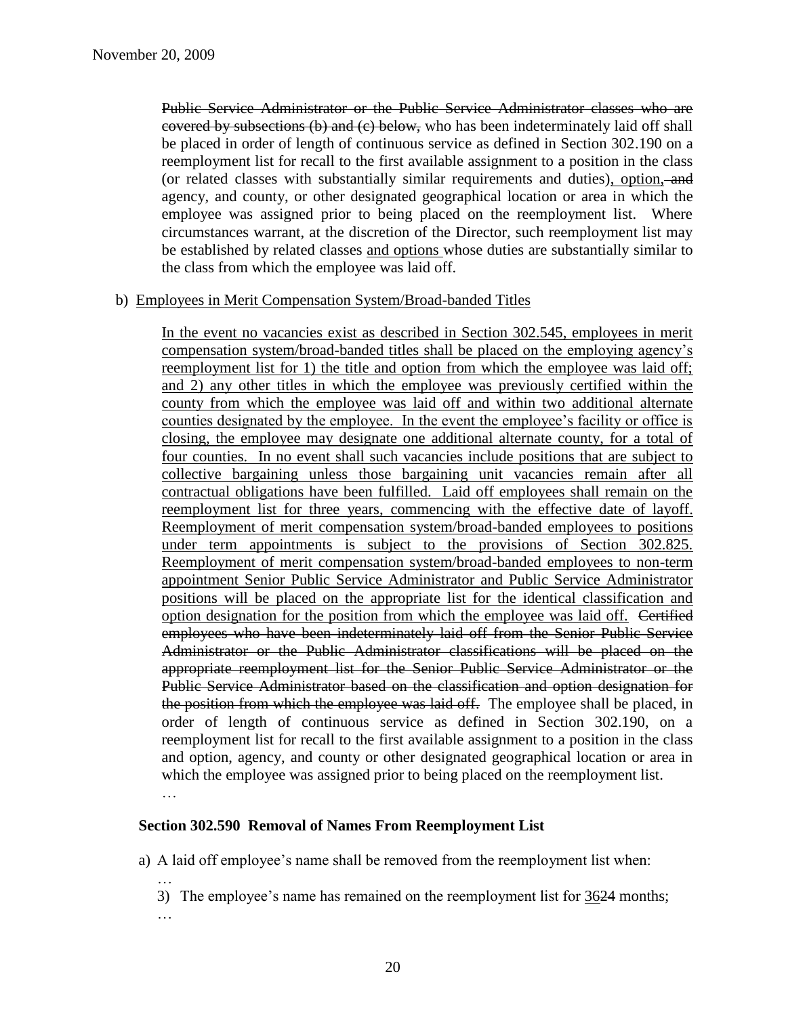Public Service Administrator or the Public Service Administrator classes who are covered by subsections (b) and (c) below, who has been indeterminately laid off shall be placed in order of length of continuous service as defined in Section 302.190 on a reemployment list for recall to the first available assignment to a position in the class (or related classes with substantially similar requirements and duties), option, and agency, and county, or other designated geographical location or area in which the employee was assigned prior to being placed on the reemployment list. Where circumstances warrant, at the discretion of the Director, such reemployment list may be established by related classes and options whose duties are substantially similar to the class from which the employee was laid off.

#### b) Employees in Merit Compensation System/Broad-banded Titles

In the event no vacancies exist as described in Section 302.545, employees in merit compensation system/broad-banded titles shall be placed on the employing agency's reemployment list for 1) the title and option from which the employee was laid off; and 2) any other titles in which the employee was previously certified within the county from which the employee was laid off and within two additional alternate counties designated by the employee. In the event the employee's facility or office is closing, the employee may designate one additional alternate county, for a total of four counties. In no event shall such vacancies include positions that are subject to collective bargaining unless those bargaining unit vacancies remain after all contractual obligations have been fulfilled. Laid off employees shall remain on the reemployment list for three years, commencing with the effective date of layoff. Reemployment of merit compensation system/broad-banded employees to positions under term appointments is subject to the provisions of Section 302.825. Reemployment of merit compensation system/broad-banded employees to non-term appointment Senior Public Service Administrator and Public Service Administrator positions will be placed on the appropriate list for the identical classification and option designation for the position from which the employee was laid off. Certified employees who have been indeterminately laid off from the Senior Public Service Administrator or the Public Administrator classifications will be placed on the appropriate reemployment list for the Senior Public Service Administrator or the Public Service Administrator based on the classification and option designation for the position from which the employee was laid off. The employee shall be placed, in order of length of continuous service as defined in Section 302.190, on a reemployment list for recall to the first available assignment to a position in the class and option, agency, and county or other designated geographical location or area in which the employee was assigned prior to being placed on the reemployment list. …

### **Section 302.590 Removal of Names From Reemployment List**

a) A laid off employee's name shall be removed from the reemployment list when:

- … 3) The employee's name has remained on the reemployment list for 3624 months;
- …